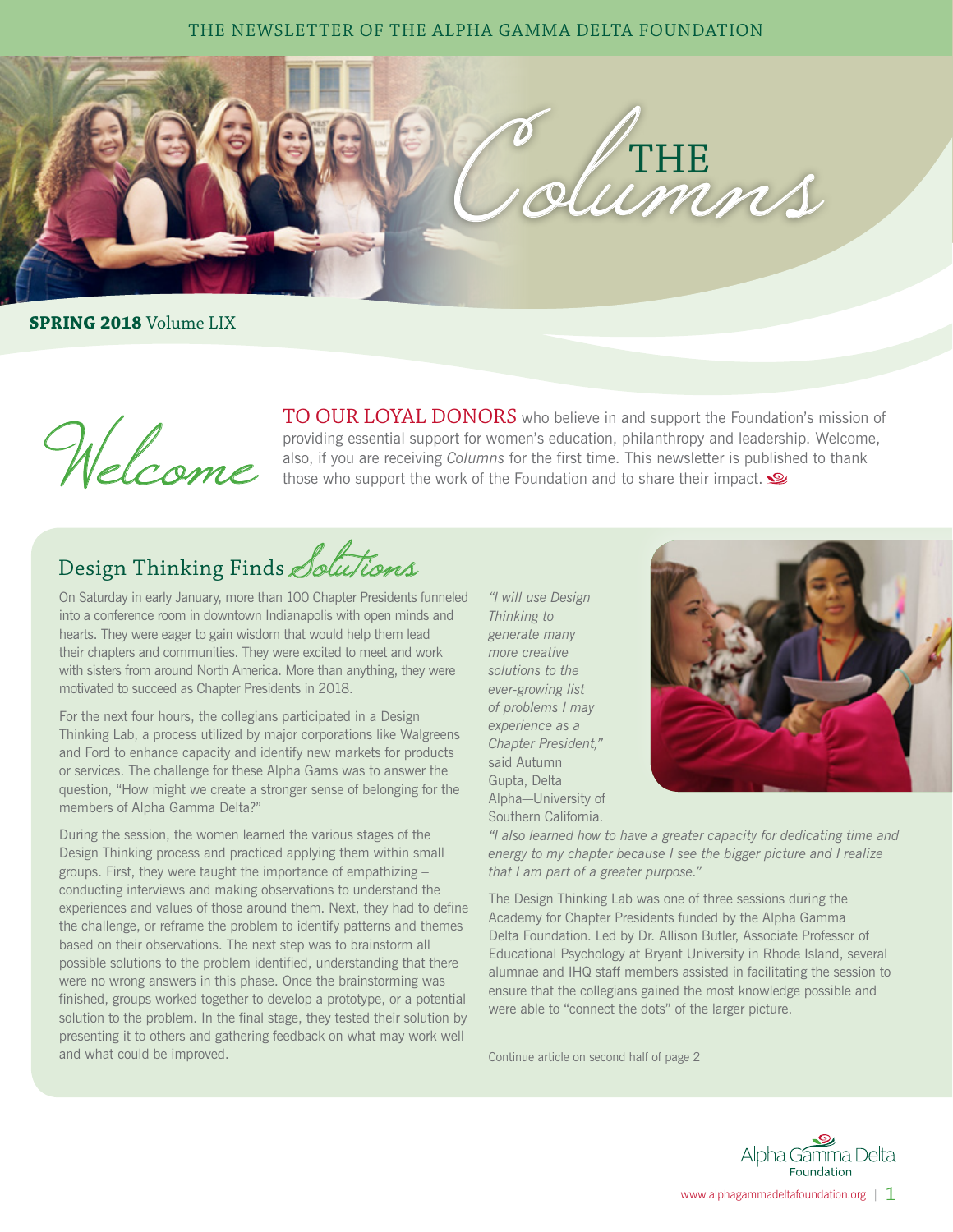#### THE NEWSLETTER OF THE ALPHA GAMMA DELTA FOUNDATION



#### **SPRING 2018** Volume LIX



TO OUR LOYAL DONORS who believe in and support the Foundation's mission of providing essential support for women's education, philanthropy and leadership. Welcome, also, if you are receiving *Columns* for the first time. This newsletter is published to thank those who support the work of the Foun

# Design Thinking Finds Solutions

On Saturday in early January, more than 100 Chapter Presidents funneled into a conference room in downtown Indianapolis with open minds and hearts. They were eager to gain wisdom that would help them lead their chapters and communities. They were excited to meet and work with sisters from around North America. More than anything, they were motivated to succeed as Chapter Presidents in 2018.

For the next four hours, the collegians participated in a Design Thinking Lab, a process utilized by major corporations like Walgreens and Ford to enhance capacity and identify new markets for products or services. The challenge for these Alpha Gams was to answer the question, "How might we create a stronger sense of belonging for the members of Alpha Gamma Delta?"

During the session, the women learned the various stages of the Design Thinking process and practiced applying them within small groups. First, they were taught the importance of empathizing – conducting interviews and making observations to understand the experiences and values of those around them. Next, they had to define the challenge, or reframe the problem to identify patterns and themes based on their observations. The next step was to brainstorm all possible solutions to the problem identified, understanding that there were no wrong answers in this phase. Once the brainstorming was finished, groups worked together to develop a prototype, or a potential solution to the problem. In the final stage, they tested their solution by presenting it to others and gathering feedback on what may work well and what could be improved.

*"I will use Design Thinking to generate many more creative solutions to the ever-growing list of problems I may experience as a Chapter President,"* said Autumn Gupta, Delta Alpha—University of Southern California.



*"I also learned how to have a greater capacity for dedicating time and energy to my chapter because I see the bigger picture and I realize that I am part of a greater purpose."*

The Design Thinking Lab was one of three sessions during the Academy for Chapter Presidents funded by the Alpha Gamma Delta Foundation. Led by Dr. Allison Butler, Associate Professor of Educational Psychology at Bryant University in Rhode Island, several alumnae and IHQ staff members assisted in facilitating the session to ensure that the collegians gained the most knowledge possible and were able to "connect the dots" of the larger picture.

Continue article on second half of page 2

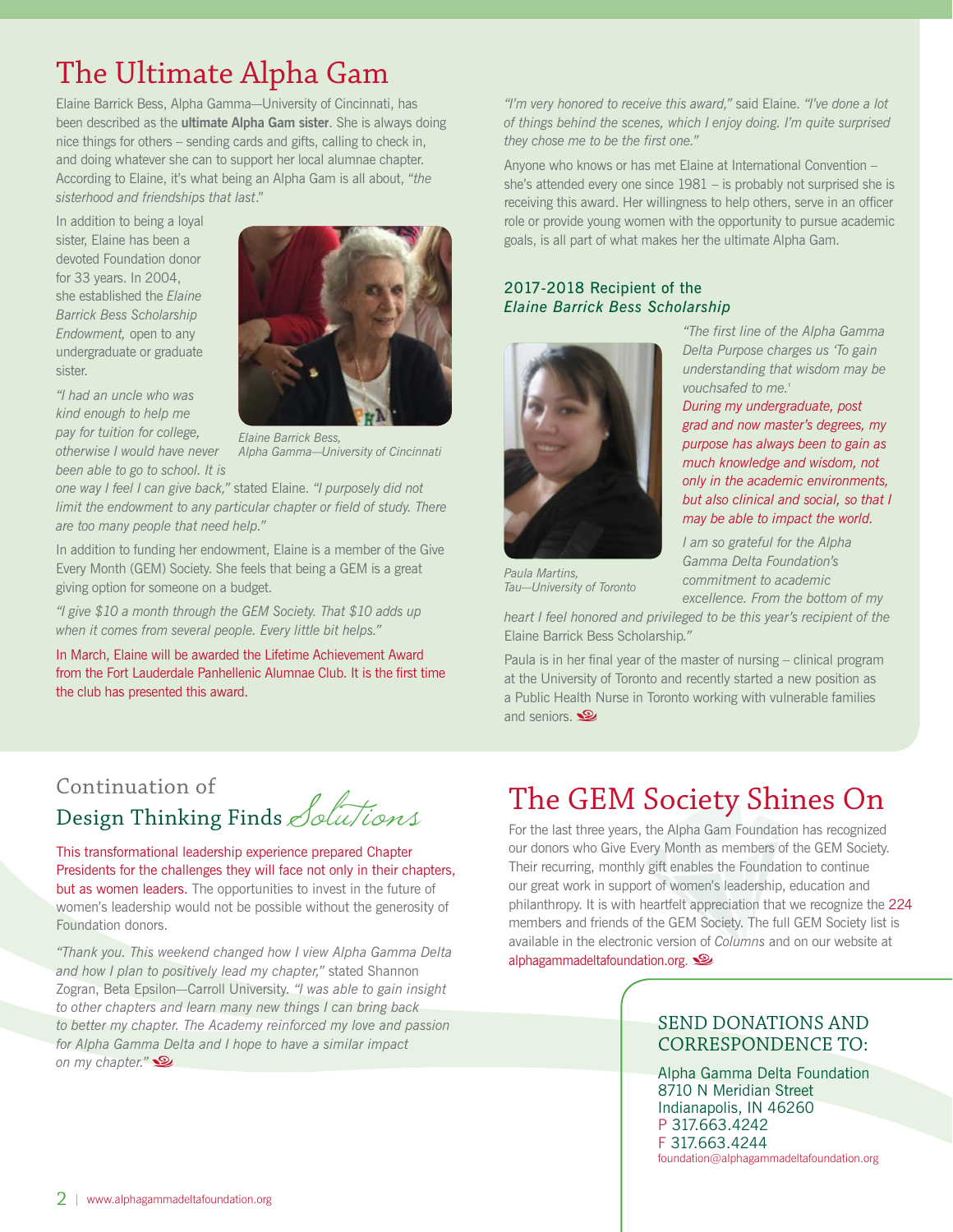## The Ultimate Alpha Gam

Elaine Barrick Bess, Alpha Gamma—University of Cincinnati, has been described as the **ultimate Alpha Gam sister**. She is always doing nice things for others – sending cards and gifts, calling to check in, and doing whatever she can to support her local alumnae chapter. According to Elaine, it's what being an Alpha Gam is all about, "*the sisterhood and friendships that last*."

In addition to being a loyal sister, Elaine has been a devoted Foundation donor for 33 years. In 2004, she established the *Elaine Barrick Bess Scholarship Endowment,* open to any undergraduate or graduate sister.

*"I had an uncle who was kind enough to help me pay for tuition for college, otherwise I would have never been able to go to school. It is* 



*Elaine Barrick Bess, Alpha Gamma—University of Cincinnati*

*one way I feel I can give back,"* stated Elaine. *"I purposely did not limit the endowment to any particular chapter or field of study. There are too many people that need help."*

In addition to funding her endowment, Elaine is a member of the Give Every Month (GEM) Society. She feels that being a GEM is a great giving option for someone on a budget.

*"I give \$10 a month through the GEM Society. That \$10 adds up when it comes from several people. Every little bit helps."* 

In March, Elaine will be awarded the Lifetime Achievement Award from the Fort Lauderdale Panhellenic Alumnae Club. It is the first time the club has presented this award.

*"I'm very honored to receive this award,"* said Elaine. *"I've done a lot of things behind the scenes, which I enjoy doing. I'm quite surprised they chose me to be the first one."*

Anyone who knows or has met Elaine at International Convention – she's attended every one since 1981 – is probably not surprised she is receiving this award. Her willingness to help others, serve in an officer role or provide young women with the opportunity to pursue academic goals, is all part of what makes her the ultimate Alpha Gam.

#### 2017-2018 Recipient of the *Elaine Barrick Bess Scholarship*



*"The first line of the Alpha Gamma Delta Purpose charges us 'To gain understanding that wisdom may be vouchsafed to me.'* 

*During my undergraduate, post grad and now master's degrees, my purpose has always been to gain as much knowledge and wisdom, not only in the academic environments, but also clinical and social, so that I may be able to impact the world.*

*I am so grateful for the Alpha Gamma Delta Foundation's commitment to academic* 

*Paula Martins, Tau—University of Toronto* 

*excellence. From the bottom of my heart I feel honored and privileged to be this year's recipient of the*  Elaine Barrick Bess Scholarship*."*

Paula is in her final year of the master of nursing – clinical program at the University of Toronto and recently started a new position as a Public Health Nurse in Toronto working with vulnerable families and seniors.

### Continuation of Design Thinking Finds Solutions

This transformational leadership experience prepared Chapter Presidents for the challenges they will face not only in their chapters, but as women leaders. The opportunities to invest in the future of women's leadership would not be possible without the generosity of Foundation donors.

*"Thank you. This weekend changed how I view Alpha Gamma Delta and how I plan to positively lead my chapter,"* stated Shannon Zogran, Beta Epsilon—Carroll University. *"I was able to gain insight to other chapters and learn many new things I can bring back to better my chapter. The Academy reinforced my love and passion for Alpha Gamma Delta and I hope to have a similar impact on my chapter."* 

## The GEM Society Shines On

For the last three years, the Alpha Gam Foundation has recognized our donors who Give Every Month as members of the GEM Society. Their recurring, monthly gift enables the Foundation to continue our great work in support of women's leadership, education and philanthropy. It is with heartfelt appreciation that we recognize the 224 members and friends of the GEM Society. The full GEM Society list is available in the electronic version of *Columns* and on our website at alphagammadeltafoundation.org.

#### SEND DONATIONS AND CORRESPONDENCE TO:

Alpha Gamma Delta Foundation 8710 N Meridian Street Indianapolis, IN 46260 P 317.663.4242 F 317.663.4244 [foundation@alphagammadeltafoundation.org](mailto:foundation%40alphagammadeltafoundation.org?subject=)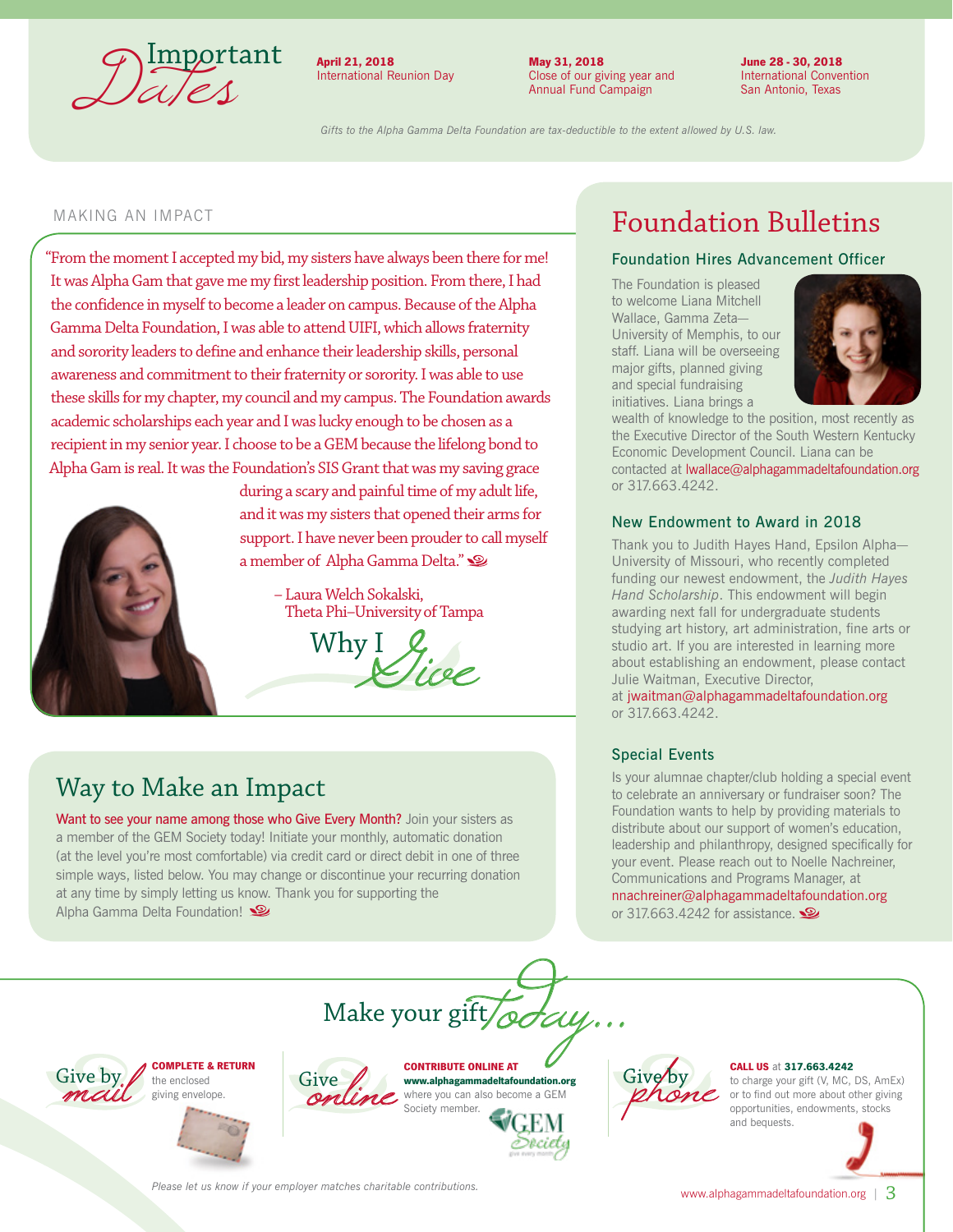

April 21, 2018 International Reunion Day May 31, 2018 Close of our giving year and Annual Fund Campaign

June 28 - 30, 2018<br>International Convention

*Gifts to the Alpha Gamma Delta Foundation are tax-deductible to the extent allowed by U.S. law.*

#### MAKING AN IMPACT

"From the moment I accepted my bid, my sisters have always been there for me! It was Alpha Gam that gave me my first leadership position. From there, I had the confidence in myself to become a leader on campus. Because of the Alpha Gamma Delta Foundation, I was able to attend UIFI, which allows fraternity and sorority leaders to define and enhance their leadership skills, personal awareness and commitment to their fraternity or sorority. I was able to use these skills for my chapter, my council and my campus. The Foundation awards academic scholarships each year and I was lucky enough to be chosen as a recipient in my senior year. I choose to be a GEM because the lifelong bond to Alpha Gam is real. It was the Foundation's SIS Grant that was my saving grace



during a scary and painful time of my adult life, and it was my sisters that opened their arms for support. I have never been prouder to call myself a member of Alpha Gamma Delta."

> – Laura Welch Sokalski, Theta Phi–Universityof Tampa

Why  $I$ 

### Way to Make an Impact

Want to see your name among those who Give Every Month? Join your sisters as a member of the GEM Society today! Initiate your monthly, automatic donation (at the level you're most comfortable) via credit card or direct debit in one of three simple ways, listed below. You may change or discontinue your recurring donation at any time by simply letting us know. Thank you for supporting the Alpha Gamma Delta Foundation!

## Foundation Bulletins

#### Foundation Hires Advancement Officer

The Foundation is pleased to welcome Liana Mitchell Wallace, Gamma Zeta— University of Memphis, to our staff. Liana will be overseeing major gifts, planned giving and special fundraising initiatives. Liana brings a



wealth of knowledge to the position, most recently as the Executive Director of the South Western Kentucky Economic Development Council. Liana can be contacted at lwallace@alphagammadeltafoundation.org or 317.663.4242.

#### New Endowment to Award in 2018

Thank you to Judith Hayes Hand, Epsilon Alpha— University of Missouri, who recently completed funding our newest endowment, the *Judith Hayes Hand Scholarship*. This endowment will begin awarding next fall for undergraduate students studying art history, art administration, fine arts or studio art. If you are interested in learning more about establishing an endowment, please contact Julie Waitman, Executive Director, at jwaitman@alphagammadeltafoundation.org

or 317.663.4242.

#### Special Events

Is your alumnae chapter/club holding a special event to celebrate an anniversary or fundraiser soon? The Foundation wants to help by providing materials to distribute about our support of women's education, leadership and philanthropy, designed specifically for your event. Please reach out to Noelle Nachreiner, Communications and Programs Manager, at nnachreiner@alphagammadeltafoundation.org or 317.663.4242 for assistance.







CONTRIBUTE ONLINE AT [www.alphagammadeltafoundation.org](http://www.alphagammadeltafoundation.org) where you can also become a GEM Society member. Make your gift  $\sqrt{\frac{d\mathcal{U}}{d\mathcal{U}}\cdot\mathcal{U}}$ .

recieti



#### CALL US at 317.663.4242

to charge your gift (V, MC, DS, AmEx) or to find out more about other giving opportunities, endowments, stocks and bequests.



*Please let us know if your employer matches charitable contributions.*